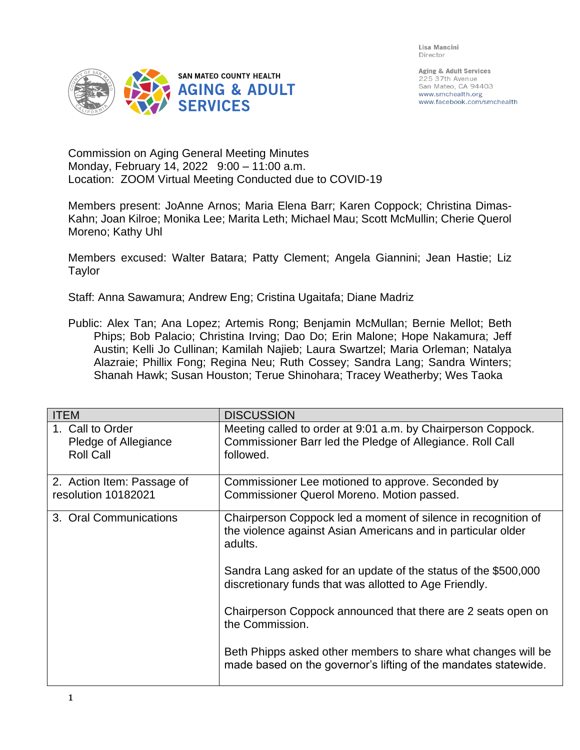Lisa Mancini Director



Aging & Adult Services 225 37th Avenue San Mateo, CA 94403 www.smchealth.org www.facebook.com/smchealth

Commission on Aging General Meeting Minutes Monday, February 14, 2022 9:00 – 11:00 a.m. Location: ZOOM Virtual Meeting Conducted due to COVID-19

Members present: JoAnne Arnos; Maria Elena Barr; Karen Coppock; Christina Dimas-Kahn; Joan Kilroe; Monika Lee; Marita Leth; Michael Mau; Scott McMullin; Cherie Querol Moreno; Kathy Uhl

Members excused: Walter Batara; Patty Clement; Angela Giannini; Jean Hastie; Liz Taylor

Staff: Anna Sawamura; Andrew Eng; Cristina Ugaitafa; Diane Madriz

Public: Alex Tan; Ana Lopez; Artemis Rong; Benjamin McMullan; Bernie Mellot; Beth Phips; Bob Palacio; Christina Irving; Dao Do; Erin Malone; Hope Nakamura; Jeff Austin; Kelli Jo Cullinan; Kamilah Najieb; Laura Swartzel; Maria Orleman; Natalya Alazraie; Phillix Fong; Regina Neu; Ruth Cossey; Sandra Lang; Sandra Winters; Shanah Hawk; Susan Houston; Terue Shinohara; Tracey Weatherby; Wes Taoka

| <b>ITEM</b>                                                  | <b>DISCUSSION</b>                                                                                                                        |
|--------------------------------------------------------------|------------------------------------------------------------------------------------------------------------------------------------------|
| 1. Call to Order<br>Pledge of Allegiance<br><b>Roll Call</b> | Meeting called to order at 9:01 a.m. by Chairperson Coppock.<br>Commissioner Barr led the Pledge of Allegiance. Roll Call<br>followed.   |
| 2. Action Item: Passage of<br>resolution 10182021            | Commissioner Lee motioned to approve. Seconded by<br>Commissioner Querol Moreno. Motion passed.                                          |
| 3. Oral Communications                                       | Chairperson Coppock led a moment of silence in recognition of<br>the violence against Asian Americans and in particular older<br>adults. |
|                                                              | Sandra Lang asked for an update of the status of the \$500,000<br>discretionary funds that was allotted to Age Friendly.                 |
|                                                              | Chairperson Coppock announced that there are 2 seats open on<br>the Commission.                                                          |
|                                                              | Beth Phipps asked other members to share what changes will be<br>made based on the governor's lifting of the mandates statewide.         |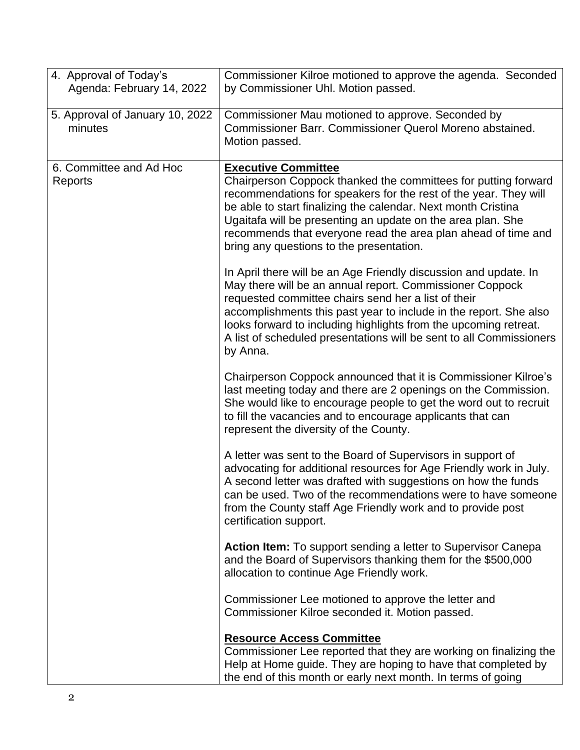| Agenda: February 14, 2022<br>by Commissioner Uhl. Motion passed.<br>5. Approval of January 10, 2022<br>Commissioner Mau motioned to approve. Seconded by<br>Commissioner Barr. Commissioner Querol Moreno abstained.<br>minutes<br>Motion passed.<br>6. Committee and Ad Hoc<br><b>Executive Committee</b><br>Chairperson Coppock thanked the committees for putting forward<br>Reports<br>recommendations for speakers for the rest of the year. They will<br>be able to start finalizing the calendar. Next month Cristina<br>Ugaitafa will be presenting an update on the area plan. She<br>recommends that everyone read the area plan ahead of time and<br>bring any questions to the presentation.<br>In April there will be an Age Friendly discussion and update. In<br>May there will be an annual report. Commissioner Coppock<br>requested committee chairs send her a list of their<br>accomplishments this past year to include in the report. She also<br>looks forward to including highlights from the upcoming retreat.<br>A list of scheduled presentations will be sent to all Commissioners<br>by Anna.<br>Chairperson Coppock announced that it is Commissioner Kilroe's<br>last meeting today and there are 2 openings on the Commission.<br>She would like to encourage people to get the word out to recruit<br>to fill the vacancies and to encourage applicants that can<br>represent the diversity of the County.<br>A letter was sent to the Board of Supervisors in support of<br>advocating for additional resources for Age Friendly work in July.<br>A second letter was drafted with suggestions on how the funds<br>can be used. Two of the recommendations were to have someone<br>from the County staff Age Friendly work and to provide post<br>certification support.<br><b>Action Item:</b> To support sending a letter to Supervisor Canepa<br>and the Board of Supervisors thanking them for the \$500,000<br>allocation to continue Age Friendly work.<br>Commissioner Lee motioned to approve the letter and<br>Commissioner Kilroe seconded it. Motion passed. | 4. Approval of Today's | Commissioner Kilroe motioned to approve the agenda. Seconded |
|------------------------------------------------------------------------------------------------------------------------------------------------------------------------------------------------------------------------------------------------------------------------------------------------------------------------------------------------------------------------------------------------------------------------------------------------------------------------------------------------------------------------------------------------------------------------------------------------------------------------------------------------------------------------------------------------------------------------------------------------------------------------------------------------------------------------------------------------------------------------------------------------------------------------------------------------------------------------------------------------------------------------------------------------------------------------------------------------------------------------------------------------------------------------------------------------------------------------------------------------------------------------------------------------------------------------------------------------------------------------------------------------------------------------------------------------------------------------------------------------------------------------------------------------------------------------------------------------------------------------------------------------------------------------------------------------------------------------------------------------------------------------------------------------------------------------------------------------------------------------------------------------------------------------------------------------------------------------------------------------------------------------------------------------------------------------------------------------------------|------------------------|--------------------------------------------------------------|
|                                                                                                                                                                                                                                                                                                                                                                                                                                                                                                                                                                                                                                                                                                                                                                                                                                                                                                                                                                                                                                                                                                                                                                                                                                                                                                                                                                                                                                                                                                                                                                                                                                                                                                                                                                                                                                                                                                                                                                                                                                                                                                            |                        |                                                              |
|                                                                                                                                                                                                                                                                                                                                                                                                                                                                                                                                                                                                                                                                                                                                                                                                                                                                                                                                                                                                                                                                                                                                                                                                                                                                                                                                                                                                                                                                                                                                                                                                                                                                                                                                                                                                                                                                                                                                                                                                                                                                                                            |                        |                                                              |
|                                                                                                                                                                                                                                                                                                                                                                                                                                                                                                                                                                                                                                                                                                                                                                                                                                                                                                                                                                                                                                                                                                                                                                                                                                                                                                                                                                                                                                                                                                                                                                                                                                                                                                                                                                                                                                                                                                                                                                                                                                                                                                            |                        |                                                              |
|                                                                                                                                                                                                                                                                                                                                                                                                                                                                                                                                                                                                                                                                                                                                                                                                                                                                                                                                                                                                                                                                                                                                                                                                                                                                                                                                                                                                                                                                                                                                                                                                                                                                                                                                                                                                                                                                                                                                                                                                                                                                                                            |                        |                                                              |
|                                                                                                                                                                                                                                                                                                                                                                                                                                                                                                                                                                                                                                                                                                                                                                                                                                                                                                                                                                                                                                                                                                                                                                                                                                                                                                                                                                                                                                                                                                                                                                                                                                                                                                                                                                                                                                                                                                                                                                                                                                                                                                            |                        |                                                              |
|                                                                                                                                                                                                                                                                                                                                                                                                                                                                                                                                                                                                                                                                                                                                                                                                                                                                                                                                                                                                                                                                                                                                                                                                                                                                                                                                                                                                                                                                                                                                                                                                                                                                                                                                                                                                                                                                                                                                                                                                                                                                                                            |                        |                                                              |
|                                                                                                                                                                                                                                                                                                                                                                                                                                                                                                                                                                                                                                                                                                                                                                                                                                                                                                                                                                                                                                                                                                                                                                                                                                                                                                                                                                                                                                                                                                                                                                                                                                                                                                                                                                                                                                                                                                                                                                                                                                                                                                            |                        |                                                              |
|                                                                                                                                                                                                                                                                                                                                                                                                                                                                                                                                                                                                                                                                                                                                                                                                                                                                                                                                                                                                                                                                                                                                                                                                                                                                                                                                                                                                                                                                                                                                                                                                                                                                                                                                                                                                                                                                                                                                                                                                                                                                                                            |                        |                                                              |
|                                                                                                                                                                                                                                                                                                                                                                                                                                                                                                                                                                                                                                                                                                                                                                                                                                                                                                                                                                                                                                                                                                                                                                                                                                                                                                                                                                                                                                                                                                                                                                                                                                                                                                                                                                                                                                                                                                                                                                                                                                                                                                            |                        |                                                              |
|                                                                                                                                                                                                                                                                                                                                                                                                                                                                                                                                                                                                                                                                                                                                                                                                                                                                                                                                                                                                                                                                                                                                                                                                                                                                                                                                                                                                                                                                                                                                                                                                                                                                                                                                                                                                                                                                                                                                                                                                                                                                                                            |                        |                                                              |
|                                                                                                                                                                                                                                                                                                                                                                                                                                                                                                                                                                                                                                                                                                                                                                                                                                                                                                                                                                                                                                                                                                                                                                                                                                                                                                                                                                                                                                                                                                                                                                                                                                                                                                                                                                                                                                                                                                                                                                                                                                                                                                            |                        |                                                              |
|                                                                                                                                                                                                                                                                                                                                                                                                                                                                                                                                                                                                                                                                                                                                                                                                                                                                                                                                                                                                                                                                                                                                                                                                                                                                                                                                                                                                                                                                                                                                                                                                                                                                                                                                                                                                                                                                                                                                                                                                                                                                                                            |                        |                                                              |
|                                                                                                                                                                                                                                                                                                                                                                                                                                                                                                                                                                                                                                                                                                                                                                                                                                                                                                                                                                                                                                                                                                                                                                                                                                                                                                                                                                                                                                                                                                                                                                                                                                                                                                                                                                                                                                                                                                                                                                                                                                                                                                            |                        |                                                              |
|                                                                                                                                                                                                                                                                                                                                                                                                                                                                                                                                                                                                                                                                                                                                                                                                                                                                                                                                                                                                                                                                                                                                                                                                                                                                                                                                                                                                                                                                                                                                                                                                                                                                                                                                                                                                                                                                                                                                                                                                                                                                                                            |                        |                                                              |
|                                                                                                                                                                                                                                                                                                                                                                                                                                                                                                                                                                                                                                                                                                                                                                                                                                                                                                                                                                                                                                                                                                                                                                                                                                                                                                                                                                                                                                                                                                                                                                                                                                                                                                                                                                                                                                                                                                                                                                                                                                                                                                            |                        |                                                              |
|                                                                                                                                                                                                                                                                                                                                                                                                                                                                                                                                                                                                                                                                                                                                                                                                                                                                                                                                                                                                                                                                                                                                                                                                                                                                                                                                                                                                                                                                                                                                                                                                                                                                                                                                                                                                                                                                                                                                                                                                                                                                                                            |                        |                                                              |
|                                                                                                                                                                                                                                                                                                                                                                                                                                                                                                                                                                                                                                                                                                                                                                                                                                                                                                                                                                                                                                                                                                                                                                                                                                                                                                                                                                                                                                                                                                                                                                                                                                                                                                                                                                                                                                                                                                                                                                                                                                                                                                            |                        |                                                              |
|                                                                                                                                                                                                                                                                                                                                                                                                                                                                                                                                                                                                                                                                                                                                                                                                                                                                                                                                                                                                                                                                                                                                                                                                                                                                                                                                                                                                                                                                                                                                                                                                                                                                                                                                                                                                                                                                                                                                                                                                                                                                                                            |                        |                                                              |
|                                                                                                                                                                                                                                                                                                                                                                                                                                                                                                                                                                                                                                                                                                                                                                                                                                                                                                                                                                                                                                                                                                                                                                                                                                                                                                                                                                                                                                                                                                                                                                                                                                                                                                                                                                                                                                                                                                                                                                                                                                                                                                            |                        |                                                              |
|                                                                                                                                                                                                                                                                                                                                                                                                                                                                                                                                                                                                                                                                                                                                                                                                                                                                                                                                                                                                                                                                                                                                                                                                                                                                                                                                                                                                                                                                                                                                                                                                                                                                                                                                                                                                                                                                                                                                                                                                                                                                                                            |                        |                                                              |
|                                                                                                                                                                                                                                                                                                                                                                                                                                                                                                                                                                                                                                                                                                                                                                                                                                                                                                                                                                                                                                                                                                                                                                                                                                                                                                                                                                                                                                                                                                                                                                                                                                                                                                                                                                                                                                                                                                                                                                                                                                                                                                            |                        |                                                              |
|                                                                                                                                                                                                                                                                                                                                                                                                                                                                                                                                                                                                                                                                                                                                                                                                                                                                                                                                                                                                                                                                                                                                                                                                                                                                                                                                                                                                                                                                                                                                                                                                                                                                                                                                                                                                                                                                                                                                                                                                                                                                                                            |                        |                                                              |
|                                                                                                                                                                                                                                                                                                                                                                                                                                                                                                                                                                                                                                                                                                                                                                                                                                                                                                                                                                                                                                                                                                                                                                                                                                                                                                                                                                                                                                                                                                                                                                                                                                                                                                                                                                                                                                                                                                                                                                                                                                                                                                            |                        |                                                              |
|                                                                                                                                                                                                                                                                                                                                                                                                                                                                                                                                                                                                                                                                                                                                                                                                                                                                                                                                                                                                                                                                                                                                                                                                                                                                                                                                                                                                                                                                                                                                                                                                                                                                                                                                                                                                                                                                                                                                                                                                                                                                                                            |                        |                                                              |
|                                                                                                                                                                                                                                                                                                                                                                                                                                                                                                                                                                                                                                                                                                                                                                                                                                                                                                                                                                                                                                                                                                                                                                                                                                                                                                                                                                                                                                                                                                                                                                                                                                                                                                                                                                                                                                                                                                                                                                                                                                                                                                            |                        |                                                              |
|                                                                                                                                                                                                                                                                                                                                                                                                                                                                                                                                                                                                                                                                                                                                                                                                                                                                                                                                                                                                                                                                                                                                                                                                                                                                                                                                                                                                                                                                                                                                                                                                                                                                                                                                                                                                                                                                                                                                                                                                                                                                                                            |                        |                                                              |
|                                                                                                                                                                                                                                                                                                                                                                                                                                                                                                                                                                                                                                                                                                                                                                                                                                                                                                                                                                                                                                                                                                                                                                                                                                                                                                                                                                                                                                                                                                                                                                                                                                                                                                                                                                                                                                                                                                                                                                                                                                                                                                            |                        |                                                              |
|                                                                                                                                                                                                                                                                                                                                                                                                                                                                                                                                                                                                                                                                                                                                                                                                                                                                                                                                                                                                                                                                                                                                                                                                                                                                                                                                                                                                                                                                                                                                                                                                                                                                                                                                                                                                                                                                                                                                                                                                                                                                                                            |                        |                                                              |
|                                                                                                                                                                                                                                                                                                                                                                                                                                                                                                                                                                                                                                                                                                                                                                                                                                                                                                                                                                                                                                                                                                                                                                                                                                                                                                                                                                                                                                                                                                                                                                                                                                                                                                                                                                                                                                                                                                                                                                                                                                                                                                            |                        |                                                              |
|                                                                                                                                                                                                                                                                                                                                                                                                                                                                                                                                                                                                                                                                                                                                                                                                                                                                                                                                                                                                                                                                                                                                                                                                                                                                                                                                                                                                                                                                                                                                                                                                                                                                                                                                                                                                                                                                                                                                                                                                                                                                                                            |                        |                                                              |
|                                                                                                                                                                                                                                                                                                                                                                                                                                                                                                                                                                                                                                                                                                                                                                                                                                                                                                                                                                                                                                                                                                                                                                                                                                                                                                                                                                                                                                                                                                                                                                                                                                                                                                                                                                                                                                                                                                                                                                                                                                                                                                            |                        |                                                              |
|                                                                                                                                                                                                                                                                                                                                                                                                                                                                                                                                                                                                                                                                                                                                                                                                                                                                                                                                                                                                                                                                                                                                                                                                                                                                                                                                                                                                                                                                                                                                                                                                                                                                                                                                                                                                                                                                                                                                                                                                                                                                                                            |                        |                                                              |
|                                                                                                                                                                                                                                                                                                                                                                                                                                                                                                                                                                                                                                                                                                                                                                                                                                                                                                                                                                                                                                                                                                                                                                                                                                                                                                                                                                                                                                                                                                                                                                                                                                                                                                                                                                                                                                                                                                                                                                                                                                                                                                            |                        |                                                              |
| <b>Resource Access Committee</b>                                                                                                                                                                                                                                                                                                                                                                                                                                                                                                                                                                                                                                                                                                                                                                                                                                                                                                                                                                                                                                                                                                                                                                                                                                                                                                                                                                                                                                                                                                                                                                                                                                                                                                                                                                                                                                                                                                                                                                                                                                                                           |                        |                                                              |
| Commissioner Lee reported that they are working on finalizing the                                                                                                                                                                                                                                                                                                                                                                                                                                                                                                                                                                                                                                                                                                                                                                                                                                                                                                                                                                                                                                                                                                                                                                                                                                                                                                                                                                                                                                                                                                                                                                                                                                                                                                                                                                                                                                                                                                                                                                                                                                          |                        |                                                              |
| Help at Home guide. They are hoping to have that completed by<br>the end of this month or early next month. In terms of going                                                                                                                                                                                                                                                                                                                                                                                                                                                                                                                                                                                                                                                                                                                                                                                                                                                                                                                                                                                                                                                                                                                                                                                                                                                                                                                                                                                                                                                                                                                                                                                                                                                                                                                                                                                                                                                                                                                                                                              |                        |                                                              |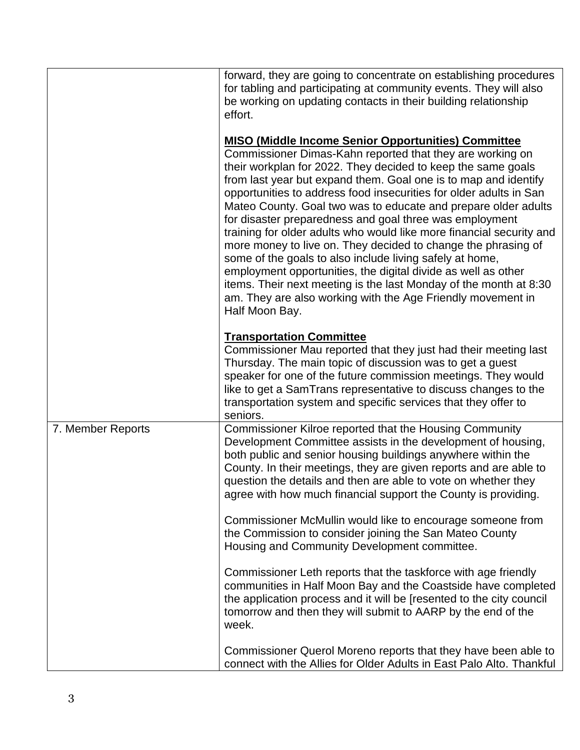|                   | forward, they are going to concentrate on establishing procedures<br>for tabling and participating at community events. They will also<br>be working on updating contacts in their building relationship<br>effort.                                                                                                                                                                                                                                                                                                                                                                                                                                                                                                                                                                                                                                                                       |
|-------------------|-------------------------------------------------------------------------------------------------------------------------------------------------------------------------------------------------------------------------------------------------------------------------------------------------------------------------------------------------------------------------------------------------------------------------------------------------------------------------------------------------------------------------------------------------------------------------------------------------------------------------------------------------------------------------------------------------------------------------------------------------------------------------------------------------------------------------------------------------------------------------------------------|
|                   | <b>MISO (Middle Income Senior Opportunities) Committee</b><br>Commissioner Dimas-Kahn reported that they are working on<br>their workplan for 2022. They decided to keep the same goals<br>from last year but expand them. Goal one is to map and identify<br>opportunities to address food insecurities for older adults in San<br>Mateo County. Goal two was to educate and prepare older adults<br>for disaster preparedness and goal three was employment<br>training for older adults who would like more financial security and<br>more money to live on. They decided to change the phrasing of<br>some of the goals to also include living safely at home,<br>employment opportunities, the digital divide as well as other<br>items. Their next meeting is the last Monday of the month at 8:30<br>am. They are also working with the Age Friendly movement in<br>Half Moon Bay. |
|                   | <b>Transportation Committee</b><br>Commissioner Mau reported that they just had their meeting last<br>Thursday. The main topic of discussion was to get a guest<br>speaker for one of the future commission meetings. They would<br>like to get a SamTrans representative to discuss changes to the<br>transportation system and specific services that they offer to<br>seniors.                                                                                                                                                                                                                                                                                                                                                                                                                                                                                                         |
| 7. Member Reports | Commissioner Kilroe reported that the Housing Community<br>Development Committee assists in the development of housing,<br>both public and senior housing buildings anywhere within the<br>County. In their meetings, they are given reports and are able to<br>question the details and then are able to vote on whether they<br>agree with how much financial support the County is providing.<br>Commissioner McMullin would like to encourage someone from                                                                                                                                                                                                                                                                                                                                                                                                                            |
|                   | the Commission to consider joining the San Mateo County<br>Housing and Community Development committee.<br>Commissioner Leth reports that the taskforce with age friendly                                                                                                                                                                                                                                                                                                                                                                                                                                                                                                                                                                                                                                                                                                                 |
|                   | communities in Half Moon Bay and the Coastside have completed<br>the application process and it will be [resented to the city council<br>tomorrow and then they will submit to AARP by the end of the<br>week.                                                                                                                                                                                                                                                                                                                                                                                                                                                                                                                                                                                                                                                                            |
|                   | Commissioner Querol Moreno reports that they have been able to<br>connect with the Allies for Older Adults in East Palo Alto. Thankful                                                                                                                                                                                                                                                                                                                                                                                                                                                                                                                                                                                                                                                                                                                                                    |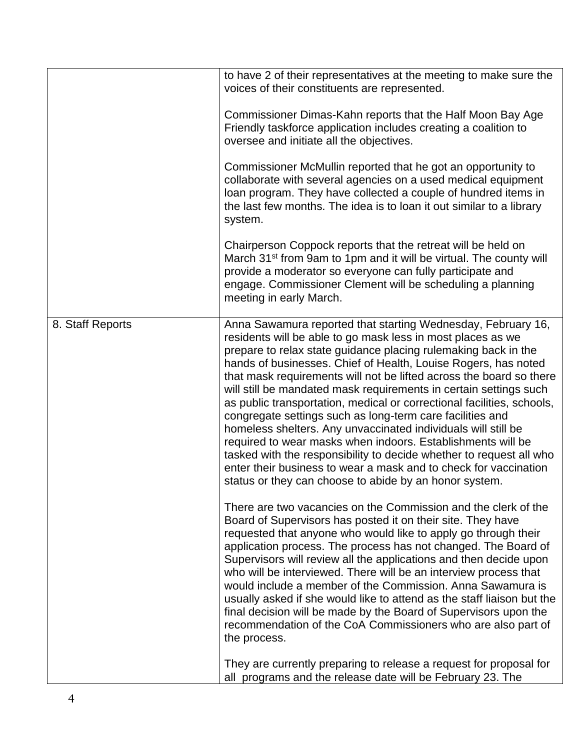|                  | to have 2 of their representatives at the meeting to make sure the<br>voices of their constituents are represented.                                                                                                                                                                                                                                                                                                                                                                                                                                                                                                                                                                                                                                                                                                                                                                     |
|------------------|-----------------------------------------------------------------------------------------------------------------------------------------------------------------------------------------------------------------------------------------------------------------------------------------------------------------------------------------------------------------------------------------------------------------------------------------------------------------------------------------------------------------------------------------------------------------------------------------------------------------------------------------------------------------------------------------------------------------------------------------------------------------------------------------------------------------------------------------------------------------------------------------|
|                  | Commissioner Dimas-Kahn reports that the Half Moon Bay Age<br>Friendly taskforce application includes creating a coalition to<br>oversee and initiate all the objectives.                                                                                                                                                                                                                                                                                                                                                                                                                                                                                                                                                                                                                                                                                                               |
|                  | Commissioner McMullin reported that he got an opportunity to<br>collaborate with several agencies on a used medical equipment<br>loan program. They have collected a couple of hundred items in<br>the last few months. The idea is to loan it out similar to a library<br>system.                                                                                                                                                                                                                                                                                                                                                                                                                                                                                                                                                                                                      |
|                  | Chairperson Coppock reports that the retreat will be held on<br>March 31 <sup>st</sup> from 9am to 1pm and it will be virtual. The county will<br>provide a moderator so everyone can fully participate and<br>engage. Commissioner Clement will be scheduling a planning<br>meeting in early March.                                                                                                                                                                                                                                                                                                                                                                                                                                                                                                                                                                                    |
| 8. Staff Reports | Anna Sawamura reported that starting Wednesday, February 16,<br>residents will be able to go mask less in most places as we<br>prepare to relax state guidance placing rulemaking back in the<br>hands of businesses. Chief of Health, Louise Rogers, has noted<br>that mask requirements will not be lifted across the board so there<br>will still be mandated mask requirements in certain settings such<br>as public transportation, medical or correctional facilities, schools,<br>congregate settings such as long-term care facilities and<br>homeless shelters. Any unvaccinated individuals will still be<br>required to wear masks when indoors. Establishments will be<br>tasked with the responsibility to decide whether to request all who<br>enter their business to wear a mask and to check for vaccination<br>status or they can choose to abide by an honor system. |
|                  | There are two vacancies on the Commission and the clerk of the<br>Board of Supervisors has posted it on their site. They have<br>requested that anyone who would like to apply go through their<br>application process. The process has not changed. The Board of<br>Supervisors will review all the applications and then decide upon<br>who will be interviewed. There will be an interview process that<br>would include a member of the Commission. Anna Sawamura is<br>usually asked if she would like to attend as the staff liaison but the<br>final decision will be made by the Board of Supervisors upon the<br>recommendation of the CoA Commissioners who are also part of<br>the process.                                                                                                                                                                                  |
|                  | They are currently preparing to release a request for proposal for<br>all programs and the release date will be February 23. The                                                                                                                                                                                                                                                                                                                                                                                                                                                                                                                                                                                                                                                                                                                                                        |